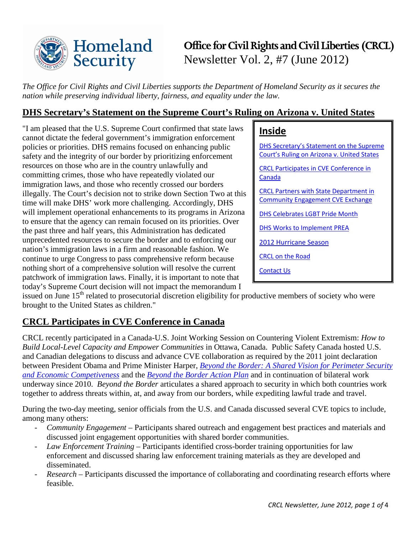

# **Office for Civil Rights and Civil Liberties (CRCL)** Newsletter Vol. 2, #7 (June 2012)

*The Office for Civil Rights and Civil Liberties supports the Department of Homeland Security as it secures the nation while preserving individual liberty, fairness, and equality under the law.* 

# <span id="page-0-0"></span>**DHS Secretary's Statement on the Supreme Court's Ruling on Arizona v. United States**

"I am pleased that the U.S. Supreme Court confirmed that state laws cannot dictate the federal government's immigration enforcement policies or priorities. DHS remains focused on enhancing public safety and the integrity of our border by prioritizing enforcement resources on those who are in the country unlawfully and committing crimes, those who have repeatedly violated our immigration laws, and those who recently crossed our borders illegally. The Court's decision not to strike down Section Two at this time will make DHS' work more challenging. Accordingly, DHS will implement operational enhancements to its programs in Arizona to ensure that the agency can remain focused on its priorities. Over the past three and half years, this Administration has dedicated unprecedented resources to secure the border and to enforcing our nation's immigration laws in a firm and reasonable fashion. We continue to urge Congress to pass comprehensive reform because nothing short of a comprehensive solution will resolve the current patchwork of immigration laws. Finally, it is important to note that today's Supreme Court decision will not impact the memorandum I

| <b>Inside</b>                                                                                 |
|-----------------------------------------------------------------------------------------------|
| <b>DHS Secretary's Statement on the Supreme</b><br>Court's Ruling on Arizona v. United States |
| <b>CRCL Participates in CVE Conference in</b><br>Canada                                       |
| <b>CRCL Partners with State Department in</b><br><b>Community Engagement CVE Exchange</b>     |
| <b>DHS Celebrates LGBT Pride Month</b>                                                        |
| <b>DHS Works to Implement PREA</b>                                                            |
| <b>2012 Hurricane Season</b>                                                                  |
| <b>CRCL on the Road</b>                                                                       |
| <b>Contact Us</b>                                                                             |
|                                                                                               |

issued on June  $15<sup>th</sup>$  related to prosecutorial discretion eligibility for productive members of society who were brought to the United States as children."

# <span id="page-0-1"></span>**CRCL Participates in CVE Conference in Canada**

CRCL recently participated in a Canada-U.S. Joint Working Session on Countering Violent Extremism: *How to Build Local-Level Capacity and Empower Communities* in Ottawa, Canada. Public Safety Canada hosted U.S. and Canadian delegations to discuss and advance CVE collaboration as required by the 2011 joint declaration between President Obama and Prime Minister Harper, *[Beyond the Border: A Shared Vision for Perimeter Security](http://www.whitehouse.gov/the-press-office/2011/02/04/declaration-president-obama-and-prime-minister-harper-canada-beyond-bord)  [and Economic Competiveness](http://www.whitehouse.gov/the-press-office/2011/02/04/declaration-president-obama-and-prime-minister-harper-canada-beyond-bord)* and the *[Beyond the Border Action Plan](http://www.dhs.gov/files/publications/beyond-the-border-action-plan.shtm)* and in continuation of bilateral work underway since 2010. *Beyond the Border* articulates a shared approach to security in which both countries work together to address threats within, at, and away from our borders, while expediting lawful trade and travel.

During the two-day meeting, senior officials from the U.S. and Canada discussed several CVE topics to include, among many others:

- *- Community Engagement –* Participants shared outreach and engagement best practices and materials and discussed joint engagement opportunities with shared border communities.
- *- Law Enforcement Training* Participants identified cross-border training opportunities for law enforcement and discussed sharing law enforcement training materials as they are developed and disseminated.
- <span id="page-0-2"></span>*- Research* – Participants discussed the importance of collaborating and coordinating research efforts where feasible.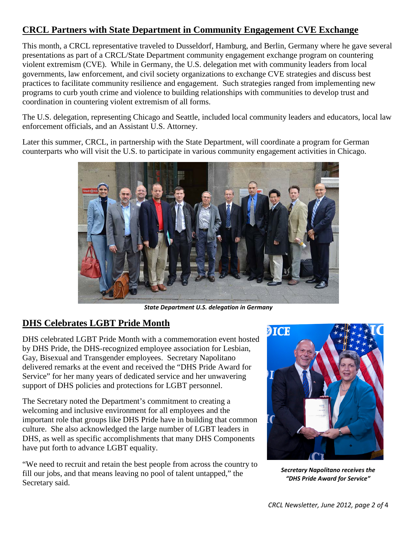# **CRCL Partners with State Department in Community Engagement CVE Exchange**

This month, a CRCL representative traveled to Dusseldorf, Hamburg, and Berlin, Germany where he gave several presentations as part of a CRCL/State Department community engagement exchange program on countering violent extremism (CVE). While in Germany, the U.S. delegation met with community leaders from local governments, law enforcement, and civil society organizations to exchange CVE strategies and discuss best practices to facilitate community resilience and engagement. Such strategies ranged from implementing new programs to curb youth crime and violence to building relationships with communities to develop trust and coordination in countering violent extremism of all forms.

The U.S. delegation, representing Chicago and Seattle, included local community leaders and educators, local law enforcement officials, and an Assistant U.S. Attorney.

Later this summer, CRCL, in partnership with the State Department, will coordinate a program for German counterparts who will visit the U.S. to participate in various community engagement activities in Chicago.



*State Department U.S. delegation in Germany*

# <span id="page-1-0"></span>**DHS Celebrates LGBT Pride Month**

DHS celebrated LGBT Pride Month with a commemoration event hosted by DHS Pride, the DHS-recognized employee association for Lesbian, Gay, Bisexual and Transgender employees. Secretary Napolitano delivered remarks at the event and received the "DHS Pride Award for Service" for her many years of dedicated service and her unwavering support of DHS policies and protections for LGBT personnel.

The Secretary noted the Department's commitment to creating a welcoming and inclusive environment for all employees and the important role that groups like DHS Pride have in building that common culture. She also acknowledged the large number of LGBT leaders in DHS, as well as specific accomplishments that many DHS Components have put forth to advance LGBT equality.

"We need to recruit and retain the best people from across the country to fill our jobs, and that means leaving no pool of talent untapped," the Secretary said.



*Secretary Napolitano receives the "DHS Pride Award for Service"*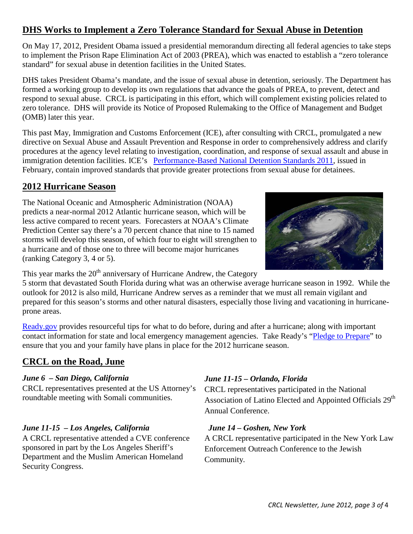# <span id="page-2-0"></span>**DHS Works to Implement a Zero Tolerance Standard for Sexual Abuse in Detention**

On May 17, 2012, President Obama issued a presidential memorandum directing all federal agencies to take steps to implement the Prison Rape Elimination Act of 2003 (PREA), which was enacted to establish a "zero tolerance standard" for sexual abuse in detention facilities in the United States.

DHS takes President Obama's mandate, and the issue of sexual abuse in detention, seriously. The Department has formed a working group to develop its own regulations that advance the goals of PREA, to prevent, detect and respond to sexual abuse. CRCL is participating in this effort, which will complement existing policies related to zero tolerance. DHS will provide its Notice of Proposed Rulemaking to the Office of Management and Budget (OMB) later this year.

This past May, Immigration and Customs Enforcement (ICE), after consulting with CRCL, promulgated a new directive on [Sexual Abuse and Assault Prevention and Response](http://www.ice.gov/doclib/dro/detention-standards/pdf/sexual_abuse_and_assault_prevention_and_intervention.pdf) in order to comprehensively address and clarify procedures at the agency level relating to investigation, coordination, and response of sexual assault and abuse in immigration detention facilities. ICE's [Performance-Based National Detention Standards 2011,](http://www.ice.gov/detention-standards/2011/) issued in February, contain improved standards that provide greater protections from sexual abuse for detainees.

# <span id="page-2-1"></span>**2012 Hurricane Season**

The National Oceanic and Atmospheric Administration (NOAA) predicts a near-normal 2012 Atlantic hurricane season, which will be less active compared to recent years. Forecasters at NOAA's Climate Prediction Center say there's a 70 percent chance that nine to 15 named storms will develop this season, of which four to eight will strengthen to a hurricane and of those one to three will become major hurricanes (ranking Category 3, 4 or 5).



This year marks the 20<sup>th</sup> anniversary of Hurricane Andrew, the Category

5 storm that devastated South Florida during what was an otherwise average hurricane season in 1992. While the outlook for 2012 is also mild, Hurricane Andrew serves as a reminder that we must all remain vigilant and prepared for this season's storms and other natural disasters, especially those living and vacationing in hurricaneprone areas.

[Ready.gov](http://www.ready.gov/hurricanes) provides resourceful tips for what to do before, during and after a hurricane; along with important contact information for state and local emergency management agencies. Take Ready's ["Pledge to Prepare"](http://community.fema.gov/connect.ti/system/register?nextURL=%2Fconnect.ti%2FREADYNPM%2FrequestJoinGroup%3FSHOWREG%3D%26amp%3BCONFIRM%3DN%26amp%3BDONE%4D) to ensure that you and your family have plans in place for the 2012 hurricane season.

# <span id="page-2-2"></span>**CRCL on the Road, June**

### *June 6 – San Diego, California*

CRCL representatives presented at the US Attorney's roundtable meeting with Somali communities.

### *June 11-15 – Los Angeles, California*

A CRCL representative attended a CVE conference sponsored in part by the Los Angeles Sheriff's Department and the Muslim American Homeland Security Congress.

### *June 11-15 – Orlando, Florida*

CRCL representatives participated in the National Association of Latino Elected and Appointed Officials 29<sup>th</sup> Annual Conference.

### *June 14 – Goshen, New York*

A CRCL representative participated in the New York Law Enforcement Outreach Conference to the Jewish Community.